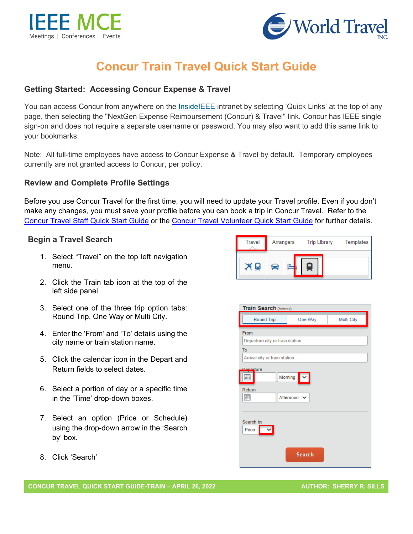



# **Concur Train Travel Quick Start Guide**

# **Getting Started: Accessing Concur Expense & Travel**

You can access Concur from anywhere on the **[InsideIEEE](https://17ieee.sharepoint.com/sites/HumanResources/benefits/brownbag.jpeg?web=1)** intranet by selecting 'Quick Links' at the top of any page, then selecting the "NextGen Expense Reimbursement (Concur) & Travel" link. Concur has IEEE single sign-on and does not require a separate username or password. You may also want to add this same link to your bookmarks.

Note: All full-time employees have access to Concur Expense & Travel by default. Temporary employees currently are not granted access to Concur, per policy.

### **Review and Complete Profile Settings**

Before you use Concur Travel for the first time, you will need to update your Travel profile. Even if you don't make any changes, you must save your profile before you can book a trip in Concur Travel. Refer to the [Concur Travel Staff Quick Start Guide](https://ieeemce.org/wp-content/uploads/staff-concur-travel-qrg.pdf) or the [Concur Travel Volunteer Quick Start Guide](https://ieeemce.org/wp-content/uploads/vol-mem-concur-travel-qrg.pdf) for further details.

#### **Begin a Travel Search**

- 1. Select "Travel" on the top left navigation menu.
- 2. Click the Train tab icon at the top of the left side panel.
- 3. Select one of the three trip option tabs: Round Trip, One Way or Multi City.
- 4. Enter the 'From' and 'To' details using the city name or train station name.
- 5. Click the calendar icon in the Depart and Return fields to select dates.
- 6. Select a portion of day or a specific time in the 'Time' drop-down boxes.
- 7. Select an option (Price or Schedule) using the drop-down arrow in the 'Search by' box.
- 8. Click 'Search'

| <b>Travel</b> | Arrangers | <b>Trip Library</b> | <b>Templates</b> |
|---------------|-----------|---------------------|------------------|
|               |           |                     |                  |

|                                                                                | <b>Train Search (Amtrak)</b>          |  |  |  |  |  |  |  |
|--------------------------------------------------------------------------------|---------------------------------------|--|--|--|--|--|--|--|
| Round Trip                                                                     | Multi City<br>One Way                 |  |  |  |  |  |  |  |
| From<br>Departure city or train station<br>To<br>Arrival city or train station |                                       |  |  |  |  |  |  |  |
| asture<br>謂<br>Return<br>讍                                                     | Morning<br>$\check{~}$<br>Afternoon V |  |  |  |  |  |  |  |
| Search by<br>Price                                                             |                                       |  |  |  |  |  |  |  |
|                                                                                | <b>Search</b>                         |  |  |  |  |  |  |  |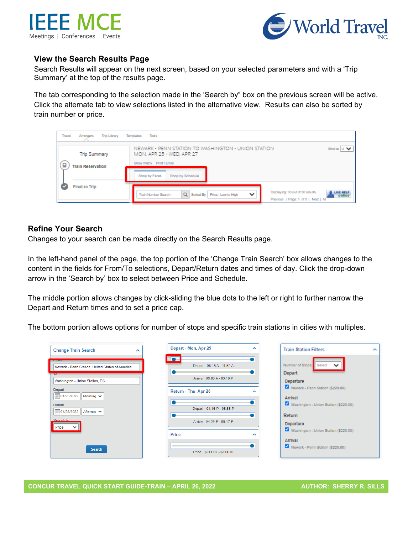



#### **View the Search Results Page**

Search Results will appear on the next screen, based on your selected parameters and with a 'Trip Summary' at the top of the results page.

The tab corresponding to the selection made in the 'Search by" box on the previous screen will be active. Click the alternate tab to view selections listed in the alternative view. Results can also be sorted by train number or price.

| Travel<br><b>Trip Library</b><br>Arrangers           | Tools<br>Templates                                                                                                                                   |                     |
|------------------------------------------------------|------------------------------------------------------------------------------------------------------------------------------------------------------|---------------------|
| <b>Trip Summary</b><br>g<br><b>Train Reservation</b> | NEWARK - PENN STATION TO WASHINGTON - UNION STATION<br>MON, APR 25 - WED, APR 27<br>Show matrix Print / Email                                        | Show as U V         |
|                                                      | Shop by Schadule<br>Shop by Fares                                                                                                                    |                     |
| <b>Finalize Trip</b>                                 | Displaying: 90 out of 90 results.<br>Q Sorted By: Price - Low to High<br>$\checkmark$<br>Train Number Search<br>Previous   Page: 1 of 9   Next   All | LIVE HELP<br>Online |

#### **Refine Your Search**

Changes to your search can be made directly on the Search Results page.

In the left-hand panel of the page, the top portion of the 'Change Train Search' box allows changes to the content in the fields for From/To selections, Depart/Return dates and times of day. Click the drop-down arrow in the 'Search by' box to select between Price and Schedule.

The middle portion allows changes by click-sliding the blue dots to the left or right to further narrow the Depart and Return times and to set a price cap.

The bottom portion allows options for number of stops and specific train stations in cities with multiples.

| <b>Change Train Search</b><br>$\sim$                                                                                                                                                                                                                 | Depart - Mon, Apr 25                                                                                                                             | ∼ | <b>Train Station Filters</b>                                                                                                                                                       |
|------------------------------------------------------------------------------------------------------------------------------------------------------------------------------------------------------------------------------------------------------|--------------------------------------------------------------------------------------------------------------------------------------------------|---|------------------------------------------------------------------------------------------------------------------------------------------------------------------------------------|
| <b>ELECTRIC</b><br>Newark - Penn Station, United States of America<br>To:<br>Washington - Union Station, DC<br>Depart<br>  04/25/2022<br>Morning $\vee$<br>Return<br><b>iiii</b> 04/28/2022<br>Afternor $\vee$<br>Search by<br>Price<br>$\checkmark$ | <b>D</b><br>Depart 06:15 A - 11:52 A<br>Arrive 09:00 A - 03:10 P<br>Return - Thu, Apr 28<br>Depart 01:15 P - 05:55 P<br>Arrive 04:29 P - 09:17 P | ∼ | Number of Stops: Select<br><b>Depart</b><br>Departure<br>Newark - Penn Station (\$2)<br>Arrival<br>Washington - Union Station<br>Return<br>Departure<br>Washington - Union Station |
| <b>Search</b>                                                                                                                                                                                                                                        | Price<br>Price \$241.00 - \$814.00                                                                                                               | ∼ | Arrival<br>Newark - Penn Station (\$2)                                                                                                                                             |

20,001

 $(220.00)$ 

 $($220.00)$ 

20.00)

×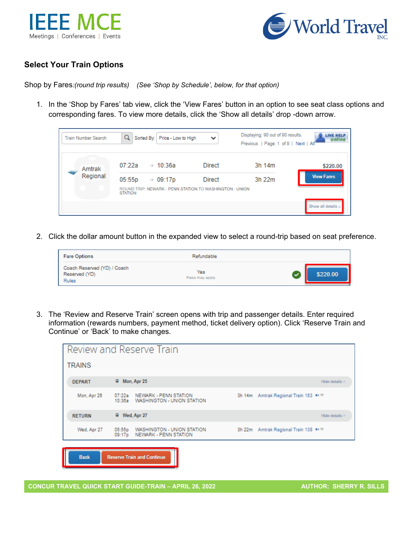



# **Select Your Train Options**

Shop by Fares*:(round trip results) (See 'Shop by Schedule', below, for that option)*

1. In the 'Shop by Fares' tab view, click the 'View Fares' button in an option to see seat class options and corresponding fares. To view more details, click the 'Show all details' drop -down arrow.

| <b>Train Number Search</b> | Q<br>Sorted By: Price - Low to High                                                                         | $\checkmark$  | Displaying: 90 out of 90 results.<br>Previous   Page: 1 of 9   Next   All | <b>JINE HELL</b>   |
|----------------------------|-------------------------------------------------------------------------------------------------------------|---------------|---------------------------------------------------------------------------|--------------------|
| Amtrak                     | 07:22a<br>$\rightarrow$ 10:36a                                                                              | <b>Direct</b> | 3h 14m                                                                    | \$220.00           |
| Regional                   | 05:55p<br>$\rightarrow$ 09:17p<br>ROUND TRIP: NEWARK - PENN STATION TO WASHINGTON - UNION<br><b>STATION</b> | Direct        | 3h 22m                                                                    | <b>View Fares</b>  |
|                            |                                                                                                             |               |                                                                           | Show all details u |

2. Click the dollar amount button in the expanded view to select a round-trip based on seat preference.

| <b>Fare Options</b>                                          | Refundable            |          |
|--------------------------------------------------------------|-----------------------|----------|
| Coach Reserved (YD) / Coach<br>Reserved (YD)<br><b>Rules</b> | Yes<br>Fees may apply | \$220.00 |

3. The 'Review and Reserve Train' screen opens with trip and passenger details. Enter required information (rewards numbers, payment method, ticket delivery option). Click 'Reserve Train and Continue' or 'Back' to make changes.

|               | Review and Reserve Train                                                |                                     |
|---------------|-------------------------------------------------------------------------|-------------------------------------|
| <b>TRAINS</b> |                                                                         |                                     |
| <b>DEPART</b> | R Mon, Apr 25                                                           | Hide details ^                      |
| Mon, Apr 25   | 07:22a NEWARK - PENN STATION<br>10:36a WASHINGTON - UNION STATION       | 3h 14m Amtrak Regional Train 183 ** |
| <b>RETURN</b> | R Wed, Apr 27                                                           | Hide details ^                      |
| Wed, Apr 27   | 05:55p<br>WASHINGTON - UNION STATION<br>NEWARK - PENN STATION<br>09:17p | 3h 22m Amtrak Regional Train 138    |
| <b>Back</b>   | <b>Reserve Train and Continue</b>                                       |                                     |

**CONCUR TRAVEL QUICK START GUIDE-TRAIN – APRIL 26, 2022 AUTHOR: SHERRY R. SILLS**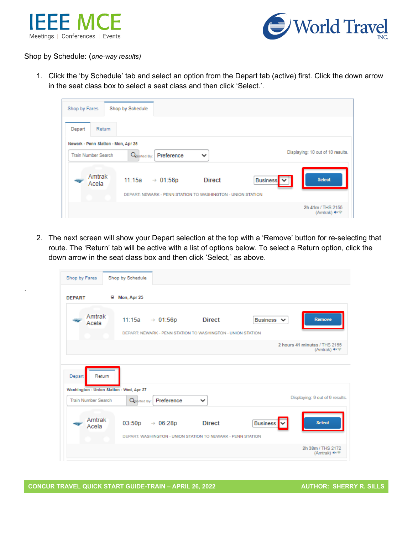

.



Shop by Schedule: (*one-way results)*

1. Click the 'by Schedule' tab and select an option from the Depart tab (active) first. Click the down arrow in the seat class box to select a seat class and then click 'Select.'.

| Shop by Fares                                                     | Shop by Schedule                                            |               |                       |                                             |
|-------------------------------------------------------------------|-------------------------------------------------------------|---------------|-----------------------|---------------------------------------------|
| Depart<br>Return                                                  |                                                             |               |                       |                                             |
| Newark - Penn Station - Mon, Apr 25<br><b>Train Number Search</b> | Q <sub>Sorted</sub> By:<br>Preference                       | $\checkmark$  |                       | Displaying: 10 out of 10 results.           |
| Amtrak<br>Acela                                                   | 11:15a<br>$\rightarrow 01:56p$                              | <b>Direct</b> | Business <sup>V</sup> | <b>Select</b>                               |
|                                                                   | DEPART: NEWARK - PENN STATION TO WASHINGTON - UNION STATION |               |                       | 2h 41m / THS 2155<br>(Amtrak) <sup>on</sup> |

2. The next screen will show your Depart selection at the top with a 'Remove' button for re-selecting that route. The 'Return' tab will be active with a list of options below. To select a Return option, click the down arrow in the seat class box and then click 'Select,' as above.

| Shop by Fares              | Shop by Schedule                                                                                                                       |                                           |
|----------------------------|----------------------------------------------------------------------------------------------------------------------------------------|-------------------------------------------|
| <b>DEPART</b>              | Mon, Apr 25                                                                                                                            |                                           |
| Amtrak<br>Acela            | Business V<br>11:15a<br><b>Direct</b><br>$\rightarrow 01:56p$<br>DEPART: NEWARK - PENN STATION TO WASHINGTON - UNION STATION           | <b>Remove</b>                             |
|                            |                                                                                                                                        | 2 hours 41 minutes / THS 2155<br>(Amtrak) |
| Depart<br>Return           | Washington - Union Station - Wed, Apr 27                                                                                               |                                           |
| <b>Train Number Search</b> | Preference<br>Q <sub>Sorted</sub> By:<br>$\checkmark$                                                                                  | Displaying: 9 out of 9 results.           |
| Amtrak<br>Acela            | <b>Direct</b><br><b>Business</b><br>03:50p<br>$\rightarrow$ 06:28p<br>M<br>DEPART: WASHINGTON - UNION STATION TO NEWARK - PENN STATION | <b>Select</b>                             |
|                            |                                                                                                                                        | 2h 38m / THS 2172<br>(Amtrak)             |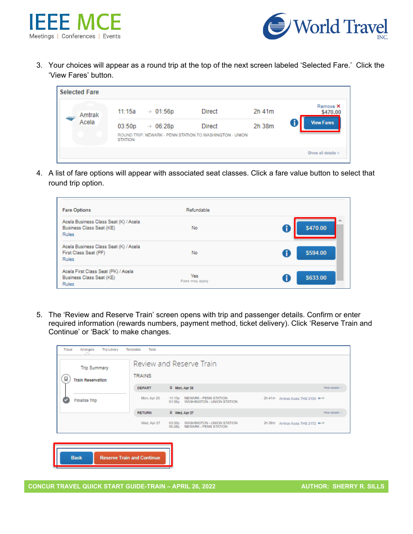



3. Your choices will appear as a round trip at the top of the next screen labeled 'Selected Fare.' Click the 'View Fares' button.

| <b>Selected Fare</b> |                          |                      |                                                                          |        |                      |
|----------------------|--------------------------|----------------------|--------------------------------------------------------------------------|--------|----------------------|
| Amtrak               | 11:15a                   | $\rightarrow$ 01:56p | <b>Direct</b>                                                            | 2h 41m | Remove X<br>\$470.00 |
| Acela                | 03:50p<br><b>STATION</b> | $\rightarrow$ 06:28p | <b>Direct</b><br>ROUND TRIP: NEWARK - PENN STATION TO WASHINGTON - UNION | 2h 38m | <b>View Fares</b>    |
|                      |                          |                      |                                                                          |        | Show all details V   |

4. A list of fare options will appear with associated seat classes. Click a fare value button to select that round trip option.

| <b>Fare Options</b>                                                             | Refundable            |               |
|---------------------------------------------------------------------------------|-----------------------|---------------|
| Acela Business Class Seat (K) / Acela<br>Business Class Seat (KE)<br>Rules      | <b>No</b>             | \$470.00      |
| Acela Business Class Seat (K) / Acela<br>First Class Seat (PF)<br><b>Rules</b>  | No                    | đ<br>\$594.00 |
| Acela First Class Seat (PK) / Acela<br>Business Class Seat (KE)<br><b>Rules</b> | Yes<br>Fees may apply | đ<br>\$633.00 |

5. The 'Review and Reserve Train' screen opens with trip and passenger details. Confirm or enter required information (rewards numbers, payment method, ticket delivery). Click 'Reserve Train and Continue' or 'Back' to make changes.

| Review and Reserve Train<br><b>Trip Summary</b><br><b>TRAINS</b><br>g<br><b>Train Reservation</b> |                                   |                  |                                                     |  |                                  |  |
|---------------------------------------------------------------------------------------------------|-----------------------------------|------------------|-----------------------------------------------------|--|----------------------------------|--|
|                                                                                                   | <b>DEPART</b>                     |                  | R Mon, Apr 26                                       |  | Hide details ~                   |  |
| <b>Finalize Trip</b>                                                                              | Mon, Apr 25                       | 11:15a<br>01:55p | NEWARK - PENN STATION<br>WASHINGTON - UNION STATION |  | 2h 41m Amtrak Acela THS 2155 *** |  |
|                                                                                                   | <b>RETURN</b>                     |                  | R Wed, Apr 27                                       |  | Hide details ~                   |  |
|                                                                                                   | Wed, Apr 27                       | 03:50p<br>06:28p | WASHINGTON - UNION STATION<br>NEWARK - PENN STATION |  | 2h 38m Amtrak Acela THS 2172 *** |  |
|                                                                                                   |                                   |                  |                                                     |  |                                  |  |
| <b>Back</b>                                                                                       | <b>Reserve Train and Continue</b> |                  |                                                     |  |                                  |  |

**CONCUR TRAVEL QUICK START GUIDE-TRAIN – APRIL 26, 2022 AUTHOR: SHERRY R. SILLS**